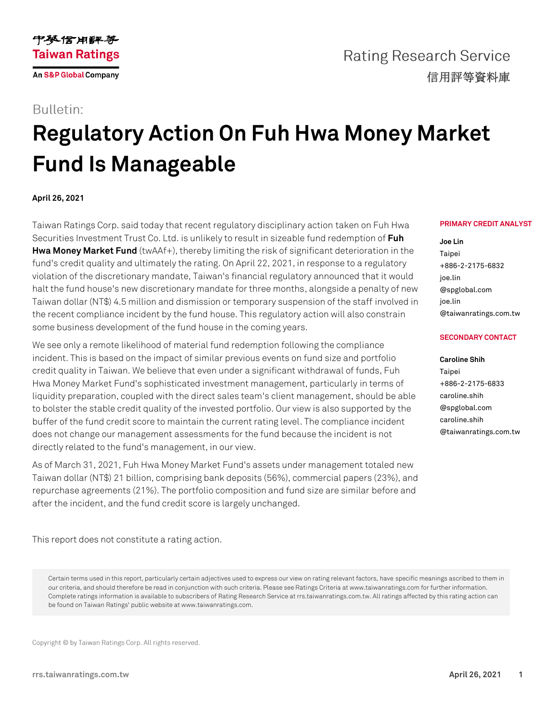## **Bulletin:**

# **Regulatory Action On Fuh Hwa Money Market Fund Is Manageable**

### **April 26, 2021**

Taiwan Ratings Corp. said today that recent regulatory disciplinary action taken on Fuh Hwa Securities Investment Trust Co. Ltd. is unlikely to result in sizeable fund redemption of **[Fuh](https://rrs.taiwanratings.com.tw/portal/member/viewFund/533)  [Hwa Money Market Fund](https://rrs.taiwanratings.com.tw/portal/member/viewFund/533)** (twAAf+), thereby limiting the risk of significant deterioration in the fund's credit quality and ultimately the rating. On April 22, 2021, in response to a regulatory violation of the discretionary mandate, Taiwan's financial regulatory announced that it would halt the fund house's new discretionary mandate for three months, alongside a penalty of new Taiwan dollar (NT\$) 4.5 million and dismission or temporary suspension of the staff involved in the recent compliance incident by the fund house. This regulatory action will also constrain some business development of the fund house in the coming years.

We see only a remote likelihood of material fund redemption following the compliance incident. This is based on the impact of similar previous events on fund size and portfolio credit quality in Taiwan. We believe that even under a significant withdrawal of funds, Fuh Hwa Money Market Fund's sophisticated investment management, particularly in terms of liquidity preparation, coupled with the direct sales team's client management, should be able to bolster the stable credit quality of the invested portfolio. Our view is also supported by the buffer of the fund credit score to maintain the current rating level. The compliance incident does not change our management assessments for the fund because the incident is not directly related to the fund's management, in our view.

As of March 31, 2021, Fuh Hwa Money Market Fund's assets under management totaled new Taiwan dollar (NT\$) 21 billion, comprising bank deposits (56%), commercial papers (23%), and repurchase agreements (21%). The portfolio composition and fund size are similar before and after the incident, and the fund credit score is largely unchanged.

This report does not constitute a rating action.

Certain terms used in this report, particularly certain adjectives used to express our view on rating relevant factors, have specific meanings ascribed to them in our criteria, and should therefore be read in conjunction with such criteria. Please see Ratings Criteria at www.taiwanratings.com for further information. Complete ratings information is available to subscribers of Rating Research Service at rrs.taiwanratings.com.tw. All ratings affected by this rating action can be found on Taiwan Ratings' public website at www.taiwanratings.com.

Copyright © by Taiwan Ratings Corp. All rights reserved.

#### **rrs.taiwanratings.com.tw April 26, 2021 1**

#### **PRIMARY CREDIT ANALYST**

#### **Joe Lin**

Taipei +886-2-2175-6832 joe.lin @spglobal.com joe.lin @taiwanratings.com.tw

#### **SECONDARY CONTACT**

**Caroline Shih** Taipei +886-2-2175-6833 caroline.shih @spglobal.com caroline.shih @taiwanratings.com.tw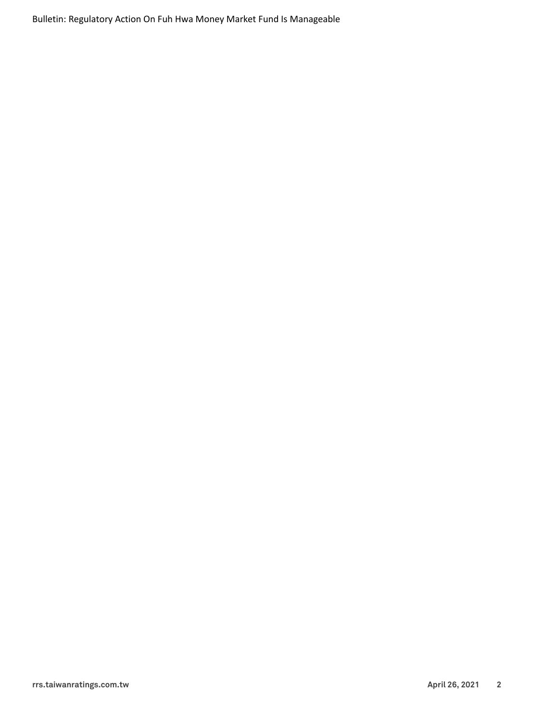Bulletin: Regulatory Action On Fuh Hwa Money Market Fund Is Manageable